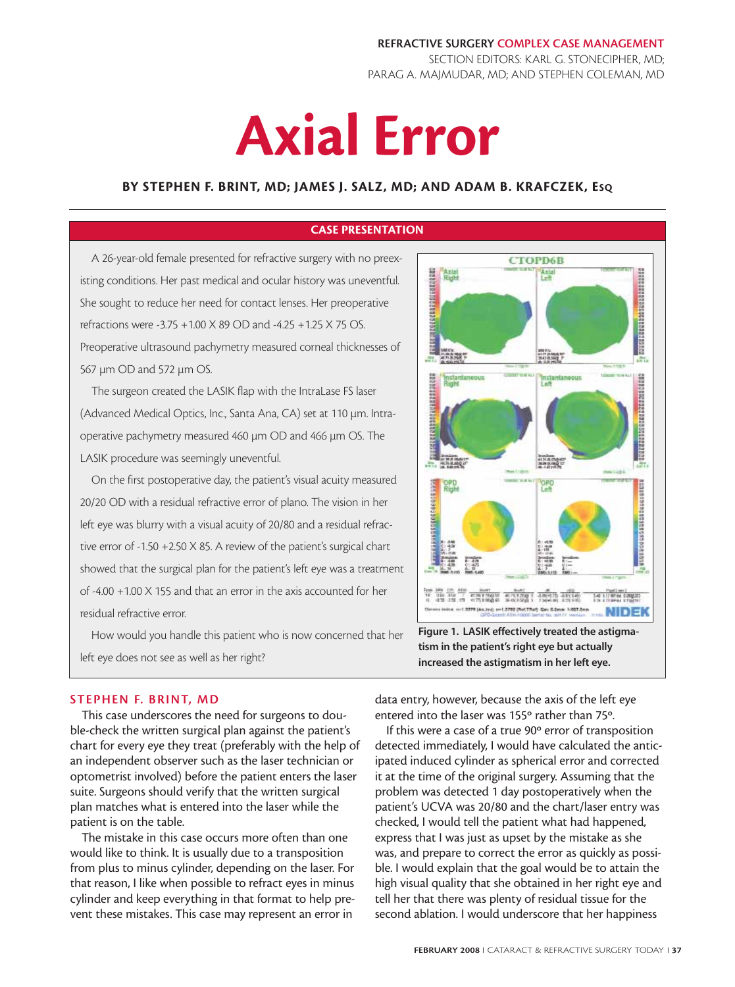**REFRACTIVE SURGERY COMPLEX CASE MANAGEMENT** SECTION EDITORS: KARL G. STONECIPHER, MD; PARAG A. MAJMUDAR, MD; AND STEPHEN COLEMAN, MD

# **Axial Error**

## **BY STEPHEN F. BRINT, MD; JAMES J. SALZ, MD; AND ADAM B. KRAFCZEK, ESQ**

## **CASE PRESENTATION**

A 26-year-old female presented for refractive surgery with no preexisting conditions. Her past medical and ocular history was uneventful. She sought to reduce her need for contact lenses. Her preoperative refractions were -3.75 +1.00 X 89 OD and -4.25 +1.25 X 75 OS. Preoperative ultrasound pachymetry measured corneal thicknesses of 567 µm OD and 572 µm OS.

The surgeon created the LASIK flap with the IntraLase FS laser (Advanced Medical Optics, Inc., Santa Ana, CA) set at 110 µm. Intraoperative pachymetry measured 460 µm OD and 466 µm OS. The LASIK procedure was seemingly uneventful.

On the first postoperative day, the patient's visual acuity measured 20/20 OD with a residual refractive error of plano. The vision in her left eye was blurry with a visual acuity of 20/80 and a residual refractive error of -1.50 +2.50 X 85. A review of the patient's surgical chart showed that the surgical plan for the patient's left eye was a treatment of -4.00 +1.00 X 155 and that an error in the axis accounted for her residual refractive error.

How would you handle this patient who is now concerned that her left eye does not see as well as her right?



**increased the astigmatism in her left eye.**

## **STEPHEN F. BRINT, MD**

This case underscores the need for surgeons to double-check the written surgical plan against the patient's chart for every eye they treat (preferably with the help of an independent observer such as the laser technician or optometrist involved) before the patient enters the laser suite. Surgeons should verify that the written surgical plan matches what is entered into the laser while the patient is on the table.

The mistake in this case occurs more often than one would like to think. It is usually due to a transposition from plus to minus cylinder, depending on the laser. For that reason, I like when possible to refract eyes in minus cylinder and keep everything in that format to help prevent these mistakes. This case may represent an error in

data entry, however, because the axis of the left eye entered into the laser was 155º rather than 75º.

If this were a case of a true 90º error of transposition detected immediately, I would have calculated the anticipated induced cylinder as spherical error and corrected it at the time of the original surgery. Assuming that the problem was detected 1 day postoperatively when the patient's UCVA was 20/80 and the chart/laser entry was checked, I would tell the patient what had happened, express that I was just as upset by the mistake as she was, and prepare to correct the error as quickly as possible. I would explain that the goal would be to attain the high visual quality that she obtained in her right eye and tell her that there was plenty of residual tissue for the second ablation. I would underscore that her happiness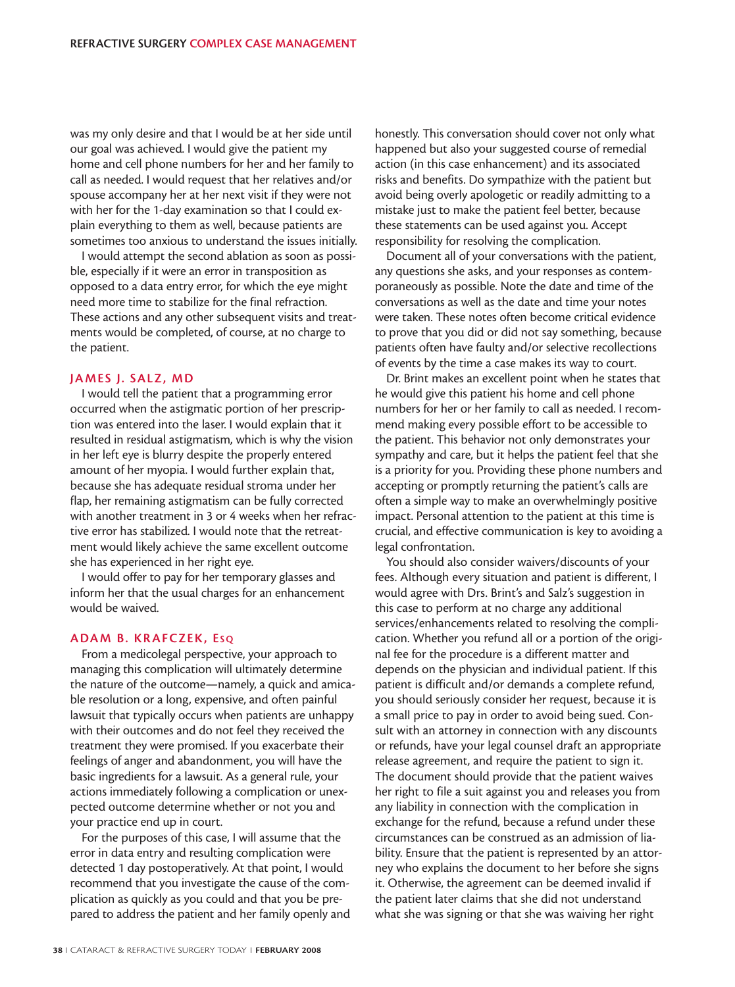was my only desire and that I would be at her side until our goal was achieved. I would give the patient my home and cell phone numbers for her and her family to call as needed. I would request that her relatives and/or spouse accompany her at her next visit if they were not with her for the 1-day examination so that I could explain everything to them as well, because patients are sometimes too anxious to understand the issues initially.

I would attempt the second ablation as soon as possible, especially if it were an error in transposition as opposed to a data entry error, for which the eye might need more time to stabilize for the final refraction. These actions and any other subsequent visits and treatments would be completed, of course, at no charge to the patient.

#### **JAMES J. SALZ, MD**

I would tell the patient that a programming error occurred when the astigmatic portion of her prescription was entered into the laser. I would explain that it resulted in residual astigmatism, which is why the vision in her left eye is blurry despite the properly entered amount of her myopia. I would further explain that, because she has adequate residual stroma under her flap, her remaining astigmatism can be fully corrected with another treatment in 3 or 4 weeks when her refractive error has stabilized. I would note that the retreatment would likely achieve the same excellent outcome she has experienced in her right eye.

I would offer to pay for her temporary glasses and inform her that the usual charges for an enhancement would be waived.

#### **ADAM B. KRAFCZEK, ES Q**

From a medicolegal perspective, your approach to managing this complication will ultimately determine the nature of the outcome—namely, a quick and amicable resolution or a long, expensive, and often painful lawsuit that typically occurs when patients are unhappy with their outcomes and do not feel they received the treatment they were promised. If you exacerbate their feelings of anger and abandonment, you will have the basic ingredients for a lawsuit. As a general rule, your actions immediately following a complication or unexpected outcome determine whether or not you and your practice end up in court.

For the purposes of this case, I will assume that the error in data entry and resulting complication were detected 1 day postoperatively. At that point, I would recommend that you investigate the cause of the complication as quickly as you could and that you be prepared to address the patient and her family openly and honestly. This conversation should cover not only what happened but also your suggested course of remedial action (in this case enhancement) and its associated risks and benefits. Do sympathize with the patient but avoid being overly apologetic or readily admitting to a mistake just to make the patient feel better, because these statements can be used against you. Accept responsibility for resolving the complication.

Document all of your conversations with the patient, any questions she asks, and your responses as contemporaneously as possible. Note the date and time of the conversations as well as the date and time your notes were taken. These notes often become critical evidence to prove that you did or did not say something, because patients often have faulty and/or selective recollections of events by the time a case makes its way to court.

Dr. Brint makes an excellent point when he states that he would give this patient his home and cell phone numbers for her or her family to call as needed. I recommend making every possible effort to be accessible to the patient. This behavior not only demonstrates your sympathy and care, but it helps the patient feel that she is a priority for you. Providing these phone numbers and accepting or promptly returning the patient's calls are often a simple way to make an overwhelmingly positive impact. Personal attention to the patient at this time is crucial, and effective communication is key to avoiding a legal confrontation.

You should also consider waivers/discounts of your fees. Although every situation and patient is different, I would agree with Drs. Brint's and Salz's suggestion in this case to perform at no charge any additional services/enhancements related to resolving the complication. Whether you refund all or a portion of the original fee for the procedure is a different matter and depends on the physician and individual patient. If this patient is difficult and/or demands a complete refund, you should seriously consider her request, because it is a small price to pay in order to avoid being sued. Consult with an attorney in connection with any discounts or refunds, have your legal counsel draft an appropriate release agreement, and require the patient to sign it. The document should provide that the patient waives her right to file a suit against you and releases you from any liability in connection with the complication in exchange for the refund, because a refund under these circumstances can be construed as an admission of liability. Ensure that the patient is represented by an attorney who explains the document to her before she signs it. Otherwise, the agreement can be deemed invalid if the patient later claims that she did not understand what she was signing or that she was waiving her right